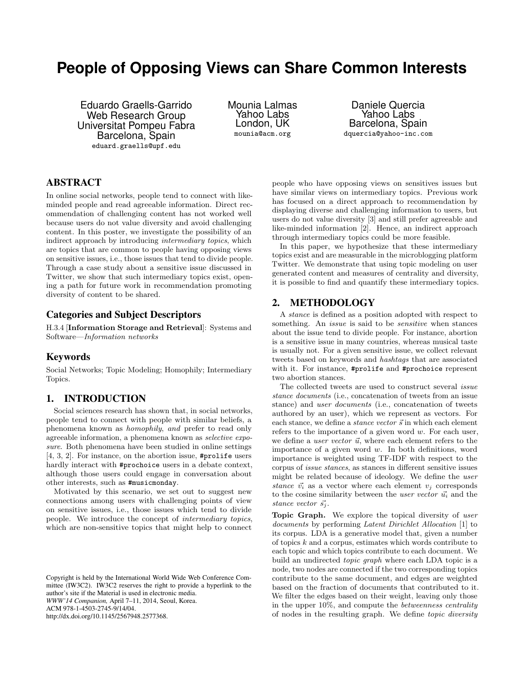# **People of Opposing Views can Share Common Interests**

Eduardo Graells-Garrido Web Research Group Universitat Pompeu Fabra Barcelona, Spain eduard.graells@upf.edu

Mounia Lalmas Yahoo Labs London, UK mounia@acm.org

Daniele Quercia Yahoo Labs Barcelona, Spain dquercia@yahoo-inc.com

# ABSTRACT

In online social networks, people tend to connect with likeminded people and read agreeable information. Direct recommendation of challenging content has not worked well because users do not value diversity and avoid challenging content. In this poster, we investigate the possibility of an indirect approach by introducing intermediary topics, which are topics that are common to people having opposing views on sensitive issues, i.e., those issues that tend to divide people. Through a case study about a sensitive issue discussed in Twitter, we show that such intermediary topics exist, opening a path for future work in recommendation promoting diversity of content to be shared.

# Categories and Subject Descriptors

H.3.4 [Information Storage and Retrieval]: Systems and Software—Information networks

# Keywords

Social Networks; Topic Modeling; Homophily; Intermediary Topics.

#### 1. INTRODUCTION

Social sciences research has shown that, in social networks, people tend to connect with people with similar beliefs, a phenomena known as homophily, and prefer to read only agreeable information, a phenomena known as selective exposure. Both phenomena have been studied in online settings [\[4,](#page-1-0) [3,](#page-1-1) [2\]](#page-1-2). For instance, on the abortion issue, #prolife users hardly interact with **#prochoice** users in a debate context, although those users could engage in conversation about other interests, such as #musicmonday.

Motivated by this scenario, we set out to suggest new connections among users with challenging points of view on sensitive issues, i.e., those issues which tend to divide people. We introduce the concept of intermediary topics, which are non-sensitive topics that might help to connect

people who have opposing views on sensitives issues but have similar views on intermediary topics. Previous work has focused on a direct approach to recommendation by displaying diverse and challenging information to users, but users do not value diversity [\[3\]](#page-1-1) and still prefer agreeable and like-minded information [\[2\]](#page-1-2). Hence, an indirect approach through intermediary topics could be more feasible.

In this paper, we hypothesize that these intermediary topics exist and are measurable in the microblogging platform Twitter. We demonstrate that using topic modeling on user generated content and measures of centrality and diversity, it is possible to find and quantify these intermediary topics.

# 2. METHODOLOGY

A stance is defined as a position adopted with respect to something. An *issue* is said to be *sensitive* when stances about the issue tend to divide people. For instance, abortion is a sensitive issue in many countries, whereas musical taste is usually not. For a given sensitive issue, we collect relevant tweets based on keywords and hashtags that are associated with it. For instance, #prolife and #prochoice represent two abortion stances.

The collected tweets are used to construct several *issue* stance documents (i.e., concatenation of tweets from an issue stance) and user documents (i.e., concatenation of tweets authored by an user), which we represent as vectors. For each stance, we define a *stance vector*  $\vec{s}$  in which each element refers to the importance of a given word w. For each user, we define a *user vector*  $\vec{u}$ , where each element refers to the importance of a given word  $w$ . In both definitions, word importance is weighted using TF-IDF with respect to the corpus of issue stances, as stances in different sensitive issues might be related because of ideology. We define the user stance  $\vec{v_i}$  as a vector where each element  $v_i$  corresponds to the cosine similarity between the user vector  $\vec{u}_i$  and the stance vector  $\vec{s_i}$ .

Topic Graph. We explore the topical diversity of user documents by performing Latent Dirichlet Allocation [\[1\]](#page-1-3) to its corpus. LDA is a generative model that, given a number of topics k and a corpus, estimates which words contribute to each topic and which topics contribute to each document. We build an undirected topic graph where each LDA topic is a node, two nodes are connected if the two corresponding topics contribute to the same document, and edges are weighted based on the fraction of documents that contributed to it. We filter the edges based on their weight, leaving only those in the upper 10%, and compute the betweenness centrality of nodes in the resulting graph. We define topic diversity

Copyright is held by the International World Wide Web Conference Committee (IW3C2). IW3C2 reserves the right to provide a hyperlink to the author's site if the Material is used in electronic media. *WWW'14 Companion,* April 7–11, 2014, Seoul, Korea. ACM 978-1-4503-2745-9/14/04. http://dx.doi.org/10.1145/2567948.2577368.